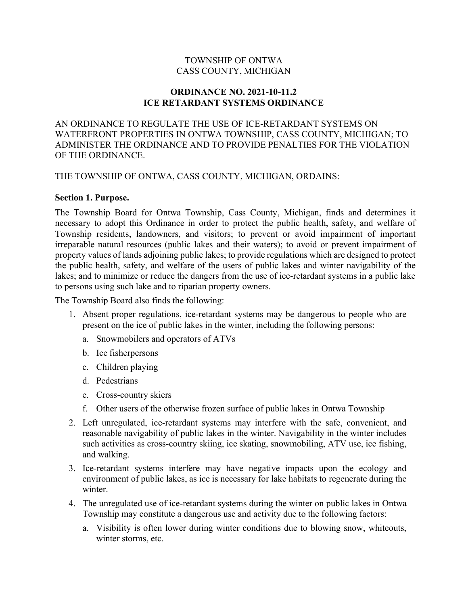# TOWNSHIP OF ONTWA CASS COUNTY, MICHIGAN

#### ORDINANCE NO. 2021-10-11.2 ICE RETARDANT SYSTEMS ORDINANCE

AN ORDINANCE TO REGULATE THE USE OF ICE-RETARDANT SYSTEMS ON WATERFRONT PROPERTIES IN ONTWA TOWNSHIP, CASS COUNTY, MICHIGAN; TO ADMINISTER THE ORDINANCE AND TO PROVIDE PENALTIES FOR THE VIOLATION OF THE ORDINANCE.

THE TOWNSHIP OF ONTWA, CASS COUNTY, MICHIGAN, ORDAINS:

#### Section 1. Purpose.

The Township Board for Ontwa Township, Cass County, Michigan, finds and determines it necessary to adopt this Ordinance in order to protect the public health, safety, and welfare of Township residents, landowners, and visitors; to prevent or avoid impairment of important irreparable natural resources (public lakes and their waters); to avoid or prevent impairment of property values of lands adjoining public lakes; to provide regulations which are designed to protect the public health, safety, and welfare of the users of public lakes and winter navigability of the lakes; and to minimize or reduce the dangers from the use of ice-retardant systems in a public lake to persons using such lake and to riparian property owners.

The Township Board also finds the following:

- 1. Absent proper regulations, ice-retardant systems may be dangerous to people who are present on the ice of public lakes in the winter, including the following persons:
	- a. Snowmobilers and operators of ATVs
	- b. Ice fisherpersons
	- c. Children playing
	- d. Pedestrians
	- e. Cross-country skiers
	- f. Other users of the otherwise frozen surface of public lakes in Ontwa Township
- 2. Left unregulated, ice-retardant systems may interfere with the safe, convenient, and reasonable navigability of public lakes in the winter. Navigability in the winter includes such activities as cross-country skiing, ice skating, snowmobiling, ATV use, ice fishing, and walking.
- 3. Ice-retardant systems interfere may have negative impacts upon the ecology and environment of public lakes, as ice is necessary for lake habitats to regenerate during the winter.
- 4. The unregulated use of ice-retardant systems during the winter on public lakes in Ontwa Township may constitute a dangerous use and activity due to the following factors:
	- a. Visibility is often lower during winter conditions due to blowing snow, whiteouts, winter storms, etc.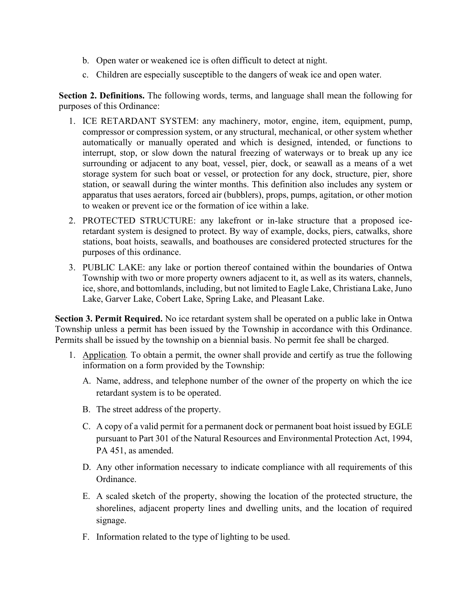- b. Open water or weakened ice is often difficult to detect at night.
- c. Children are especially susceptible to the dangers of weak ice and open water.

Section 2. Definitions. The following words, terms, and language shall mean the following for purposes of this Ordinance:

- 1. ICE RETARDANT SYSTEM: any machinery, motor, engine, item, equipment, pump, compressor or compression system, or any structural, mechanical, or other system whether automatically or manually operated and which is designed, intended, or functions to interrupt, stop, or slow down the natural freezing of waterways or to break up any ice surrounding or adjacent to any boat, vessel, pier, dock, or seawall as a means of a wet storage system for such boat or vessel, or protection for any dock, structure, pier, shore station, or seawall during the winter months. This definition also includes any system or apparatus that uses aerators, forced air (bubblers), props, pumps, agitation, or other motion to weaken or prevent ice or the formation of ice within a lake.
- 2. PROTECTED STRUCTURE: any lakefront or in-lake structure that a proposed iceretardant system is designed to protect. By way of example, docks, piers, catwalks, shore stations, boat hoists, seawalls, and boathouses are considered protected structures for the purposes of this ordinance.
- 3. PUBLIC LAKE: any lake or portion thereof contained within the boundaries of Ontwa Township with two or more property owners adjacent to it, as well as its waters, channels, ice, shore, and bottomlands, including, but not limited to Eagle Lake, Christiana Lake, Juno Lake, Garver Lake, Cobert Lake, Spring Lake, and Pleasant Lake.

Section 3. Permit Required. No ice retardant system shall be operated on a public lake in Ontwa Township unless a permit has been issued by the Township in accordance with this Ordinance. Permits shall be issued by the township on a biennial basis. No permit fee shall be charged.

- 1. Application. To obtain a permit, the owner shall provide and certify as true the following information on a form provided by the Township:
	- A. Name, address, and telephone number of the owner of the property on which the ice retardant system is to be operated.
	- B. The street address of the property.
	- C. A copy of a valid permit for a permanent dock or permanent boat hoist issued by EGLE pursuant to Part 301 of the Natural Resources and Environmental Protection Act, 1994, PA 451, as amended.
	- D. Any other information necessary to indicate compliance with all requirements of this Ordinance.
	- E. A scaled sketch of the property, showing the location of the protected structure, the shorelines, adjacent property lines and dwelling units, and the location of required signage.
	- F. Information related to the type of lighting to be used.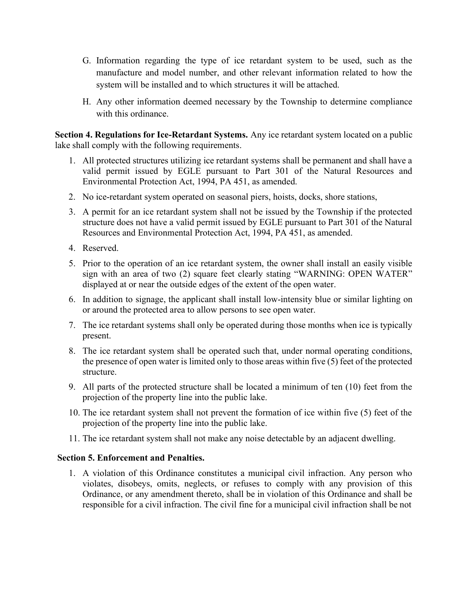- G. Information regarding the type of ice retardant system to be used, such as the manufacture and model number, and other relevant information related to how the system will be installed and to which structures it will be attached.
- H. Any other information deemed necessary by the Township to determine compliance with this ordinance.

Section 4. Regulations for Ice-Retardant Systems. Any ice retardant system located on a public lake shall comply with the following requirements.

- 1. All protected structures utilizing ice retardant systems shall be permanent and shall have a valid permit issued by EGLE pursuant to Part 301 of the Natural Resources and Environmental Protection Act, 1994, PA 451, as amended.
- 2. No ice-retardant system operated on seasonal piers, hoists, docks, shore stations,
- 3. A permit for an ice retardant system shall not be issued by the Township if the protected structure does not have a valid permit issued by EGLE pursuant to Part 301 of the Natural Resources and Environmental Protection Act, 1994, PA 451, as amended.
- 4. Reserved.
- 5. Prior to the operation of an ice retardant system, the owner shall install an easily visible sign with an area of two (2) square feet clearly stating "WARNING: OPEN WATER" displayed at or near the outside edges of the extent of the open water.
- 6. In addition to signage, the applicant shall install low-intensity blue or similar lighting on or around the protected area to allow persons to see open water.
- 7. The ice retardant systems shall only be operated during those months when ice is typically present.
- 8. The ice retardant system shall be operated such that, under normal operating conditions, the presence of open water is limited only to those areas within five (5) feet of the protected structure.
- 9. All parts of the protected structure shall be located a minimum of ten (10) feet from the projection of the property line into the public lake.
- 10. The ice retardant system shall not prevent the formation of ice within five (5) feet of the projection of the property line into the public lake.
- 11. The ice retardant system shall not make any noise detectable by an adjacent dwelling.

# Section 5. Enforcement and Penalties.

1. A violation of this Ordinance constitutes a municipal civil infraction. Any person who violates, disobeys, omits, neglects, or refuses to comply with any provision of this Ordinance, or any amendment thereto, shall be in violation of this Ordinance and shall be responsible for a civil infraction. The civil fine for a municipal civil infraction shall be not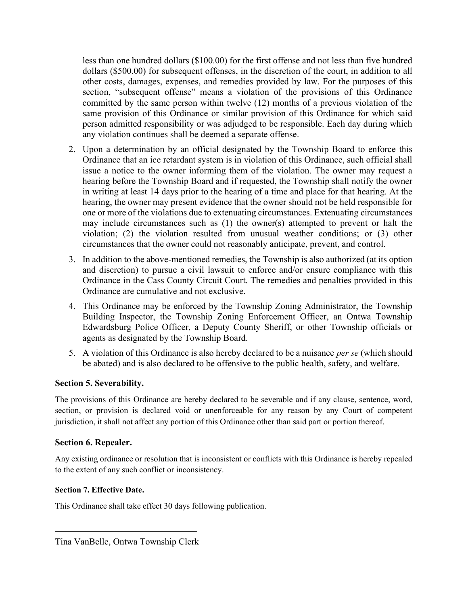less than one hundred dollars (\$100.00) for the first offense and not less than five hundred dollars (\$500.00) for subsequent offenses, in the discretion of the court, in addition to all other costs, damages, expenses, and remedies provided by law. For the purposes of this section, "subsequent offense" means a violation of the provisions of this Ordinance committed by the same person within twelve (12) months of a previous violation of the same provision of this Ordinance or similar provision of this Ordinance for which said person admitted responsibility or was adjudged to be responsible. Each day during which any violation continues shall be deemed a separate offense.

- 2. Upon a determination by an official designated by the Township Board to enforce this Ordinance that an ice retardant system is in violation of this Ordinance, such official shall issue a notice to the owner informing them of the violation. The owner may request a hearing before the Township Board and if requested, the Township shall notify the owner in writing at least 14 days prior to the hearing of a time and place for that hearing. At the hearing, the owner may present evidence that the owner should not be held responsible for one or more of the violations due to extenuating circumstances. Extenuating circumstances may include circumstances such as (1) the owner(s) attempted to prevent or halt the violation; (2) the violation resulted from unusual weather conditions; or (3) other circumstances that the owner could not reasonably anticipate, prevent, and control.
- 3. In addition to the above-mentioned remedies, the Township is also authorized (at its option and discretion) to pursue a civil lawsuit to enforce and/or ensure compliance with this Ordinance in the Cass County Circuit Court. The remedies and penalties provided in this Ordinance are cumulative and not exclusive.
- 4. This Ordinance may be enforced by the Township Zoning Administrator, the Township Building Inspector, the Township Zoning Enforcement Officer, an Ontwa Township Edwardsburg Police Officer, a Deputy County Sheriff, or other Township officials or agents as designated by the Township Board.
- 5. A violation of this Ordinance is also hereby declared to be a nuisance *per se* (which should be abated) and is also declared to be offensive to the public health, safety, and welfare.

# Section 5. Severability.

The provisions of this Ordinance are hereby declared to be severable and if any clause, sentence, word, section, or provision is declared void or unenforceable for any reason by any Court of competent jurisdiction, it shall not affect any portion of this Ordinance other than said part or portion thereof.

# Section 6. Repealer.

Any existing ordinance or resolution that is inconsistent or conflicts with this Ordinance is hereby repealed to the extent of any such conflict or inconsistency.

#### Section 7. Effective Date.

This Ordinance shall take effect 30 days following publication.